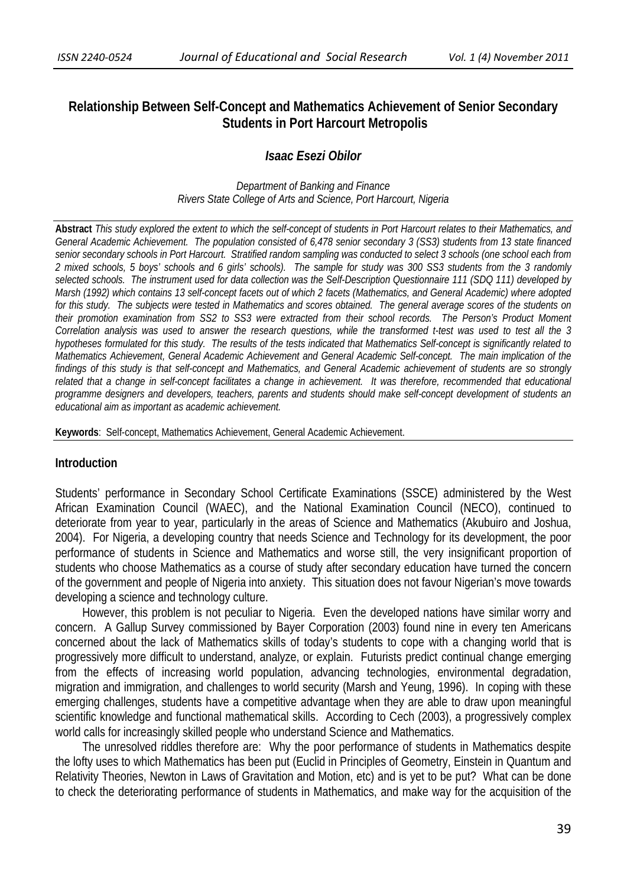# **Relationship Between Self-Concept and Mathematics Achievement of Senior Secondary Students in Port Harcourt Metropolis**

# *Isaac Esezi Obilor*

*Department of Banking and Finance Rivers State College of Arts and Science, Port Harcourt, Nigeria* 

**Abstract** *This study explored the extent to which the self-concept of students in Port Harcourt relates to their Mathematics, and General Academic Achievement. The population consisted of 6,478 senior secondary 3 (SS3) students from 13 state financed senior secondary schools in Port Harcourt. Stratified random sampling was conducted to select 3 schools (one school each from 2 mixed schools, 5 boys' schools and 6 girls' schools). The sample for study was 300 SS3 students from the 3 randomly selected schools. The instrument used for data collection was the Self-Description Questionnaire 111 (SDQ 111) developed by Marsh (1992) which contains 13 self-concept facets out of which 2 facets (Mathematics, and General Academic) where adopted for this study. The subjects were tested in Mathematics and scores obtained. The general average scores of the students on their promotion examination from SS2 to SS3 were extracted from their school records. The Person's Product Moment Correlation analysis was used to answer the research questions, while the transformed t-test was used to test all the 3 hypotheses formulated for this study. The results of the tests indicated that Mathematics Self-concept is significantly related to Mathematics Achievement, General Academic Achievement and General Academic Self-concept. The main implication of the findings of this study is that self-concept and Mathematics, and General Academic achievement of students are so strongly related that a change in self-concept facilitates a change in achievement. It was therefore, recommended that educational programme designers and developers, teachers, parents and students should make self-concept development of students an educational aim as important as academic achievement.* 

**Keywords**: Self-concept, Mathematics Achievement, General Academic Achievement.

#### **Introduction**

Students' performance in Secondary School Certificate Examinations (SSCE) administered by the West African Examination Council (WAEC), and the National Examination Council (NECO), continued to deteriorate from year to year, particularly in the areas of Science and Mathematics (Akubuiro and Joshua, 2004). For Nigeria, a developing country that needs Science and Technology for its development, the poor performance of students in Science and Mathematics and worse still, the very insignificant proportion of students who choose Mathematics as a course of study after secondary education have turned the concern of the government and people of Nigeria into anxiety. This situation does not favour Nigerian's move towards developing a science and technology culture.

 However, this problem is not peculiar to Nigeria. Even the developed nations have similar worry and concern. A Gallup Survey commissioned by Bayer Corporation (2003) found nine in every ten Americans concerned about the lack of Mathematics skills of today's students to cope with a changing world that is progressively more difficult to understand, analyze, or explain. Futurists predict continual change emerging from the effects of increasing world population, advancing technologies, environmental degradation, migration and immigration, and challenges to world security (Marsh and Yeung, 1996). In coping with these emerging challenges, students have a competitive advantage when they are able to draw upon meaningful scientific knowledge and functional mathematical skills. According to Cech (2003), a progressively complex world calls for increasingly skilled people who understand Science and Mathematics.

 The unresolved riddles therefore are: Why the poor performance of students in Mathematics despite the lofty uses to which Mathematics has been put (Euclid in Principles of Geometry, Einstein in Quantum and Relativity Theories, Newton in Laws of Gravitation and Motion, etc) and is yet to be put? What can be done to check the deteriorating performance of students in Mathematics, and make way for the acquisition of the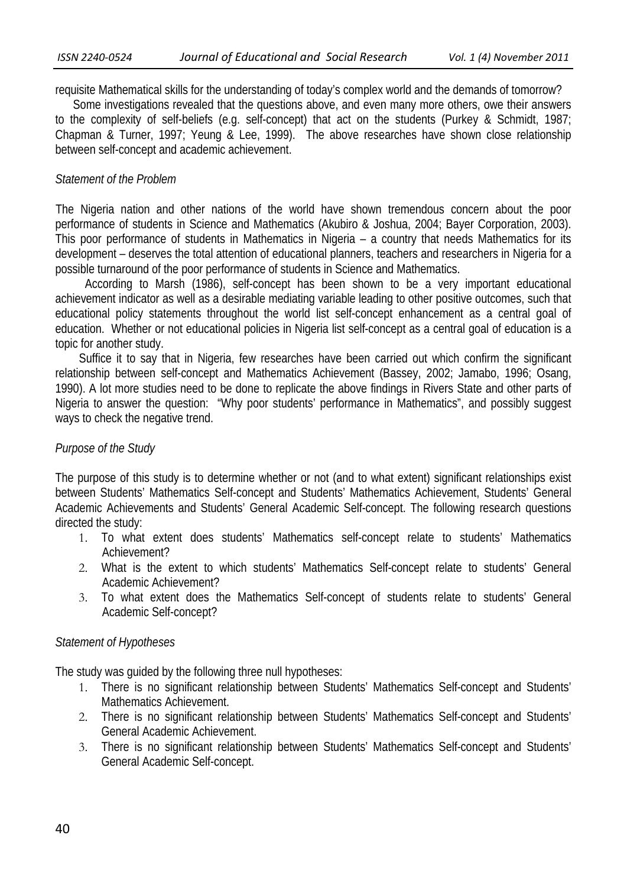requisite Mathematical skills for the understanding of today's complex world and the demands of tomorrow?

 Some investigations revealed that the questions above, and even many more others, owe their answers to the complexity of self-beliefs (e.g. self-concept) that act on the students (Purkey & Schmidt, 1987; Chapman & Turner, 1997; Yeung & Lee, 1999). The above researches have shown close relationship between self-concept and academic achievement.

# *Statement of the Problem*

 The Nigeria nation and other nations of the world have shown tremendous concern about the poor performance of students in Science and Mathematics (Akubiro & Joshua, 2004; Bayer Corporation, 2003). This poor performance of students in Mathematics in Nigeria – a country that needs Mathematics for its development – deserves the total attention of educational planners, teachers and researchers in Nigeria for a possible turnaround of the poor performance of students in Science and Mathematics.

 According to Marsh (1986), self-concept has been shown to be a very important educational achievement indicator as well as a desirable mediating variable leading to other positive outcomes, such that educational policy statements throughout the world list self-concept enhancement as a central goal of education. Whether or not educational policies in Nigeria list self-concept as a central goal of education is a topic for another study.

 Suffice it to say that in Nigeria, few researches have been carried out which confirm the significant relationship between self-concept and Mathematics Achievement (Bassey, 2002; Jamabo, 1996; Osang, 1990). A lot more studies need to be done to replicate the above findings in Rivers State and other parts of Nigeria to answer the question: "Why poor students' performance in Mathematics", and possibly suggest ways to check the negative trend.

# *Purpose of the Study*

The purpose of this study is to determine whether or not (and to what extent) significant relationships exist between Students' Mathematics Self-concept and Students' Mathematics Achievement, Students' General Academic Achievements and Students' General Academic Self-concept. The following research questions directed the study:

- 1. To what extent does students' Mathematics self-concept relate to students' Mathematics Achievement?
- 2. What is the extent to which students' Mathematics Self-concept relate to students' General Academic Achievement?
- 3. To what extent does the Mathematics Self-concept of students relate to students' General Academic Self-concept?

# *Statement of Hypotheses*

The study was guided by the following three null hypotheses:

- 1. There is no significant relationship between Students' Mathematics Self-concept and Students' Mathematics Achievement.
- 2. There is no significant relationship between Students' Mathematics Self-concept and Students' General Academic Achievement.
- 3. There is no significant relationship between Students' Mathematics Self-concept and Students' General Academic Self-concept.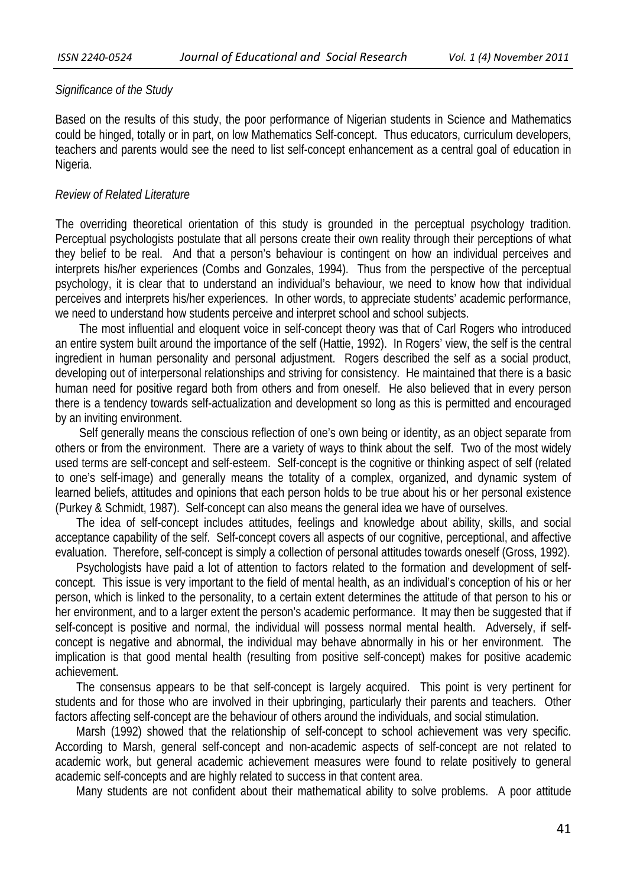### *Significance of the Study*

Based on the results of this study, the poor performance of Nigerian students in Science and Mathematics could be hinged, totally or in part, on low Mathematics Self-concept. Thus educators, curriculum developers, teachers and parents would see the need to list self-concept enhancement as a central goal of education in Nigeria.

### *Review of Related Literature*

 The overriding theoretical orientation of this study is grounded in the perceptual psychology tradition. Perceptual psychologists postulate that all persons create their own reality through their perceptions of what they belief to be real. And that a person's behaviour is contingent on how an individual perceives and interprets his/her experiences (Combs and Gonzales, 1994). Thus from the perspective of the perceptual psychology, it is clear that to understand an individual's behaviour, we need to know how that individual perceives and interprets his/her experiences. In other words, to appreciate students' academic performance, we need to understand how students perceive and interpret school and school subjects.

 The most influential and eloquent voice in self-concept theory was that of Carl Rogers who introduced an entire system built around the importance of the self (Hattie, 1992). In Rogers' view, the self is the central ingredient in human personality and personal adjustment. Rogers described the self as a social product, developing out of interpersonal relationships and striving for consistency. He maintained that there is a basic human need for positive regard both from others and from oneself. He also believed that in every person there is a tendency towards self-actualization and development so long as this is permitted and encouraged by an inviting environment.

 Self generally means the conscious reflection of one's own being or identity, as an object separate from others or from the environment. There are a variety of ways to think about the self. Two of the most widely used terms are self-concept and self-esteem. Self-concept is the cognitive or thinking aspect of self (related to one's self-image) and generally means the totality of a complex, organized, and dynamic system of learned beliefs, attitudes and opinions that each person holds to be true about his or her personal existence (Purkey & Schmidt, 1987). Self-concept can also means the general idea we have of ourselves.

 The idea of self-concept includes attitudes, feelings and knowledge about ability, skills, and social acceptance capability of the self. Self-concept covers all aspects of our cognitive, perceptional, and affective evaluation. Therefore, self-concept is simply a collection of personal attitudes towards oneself (Gross, 1992).

 Psychologists have paid a lot of attention to factors related to the formation and development of selfconcept. This issue is very important to the field of mental health, as an individual's conception of his or her person, which is linked to the personality, to a certain extent determines the attitude of that person to his or her environment, and to a larger extent the person's academic performance. It may then be suggested that if self-concept is positive and normal, the individual will possess normal mental health. Adversely, if selfconcept is negative and abnormal, the individual may behave abnormally in his or her environment. The implication is that good mental health (resulting from positive self-concept) makes for positive academic achievement.

 The consensus appears to be that self-concept is largely acquired. This point is very pertinent for students and for those who are involved in their upbringing, particularly their parents and teachers. Other factors affecting self-concept are the behaviour of others around the individuals, and social stimulation.

 Marsh (1992) showed that the relationship of self-concept to school achievement was very specific. According to Marsh, general self-concept and non-academic aspects of self-concept are not related to academic work, but general academic achievement measures were found to relate positively to general academic self-concepts and are highly related to success in that content area.

Many students are not confident about their mathematical ability to solve problems. A poor attitude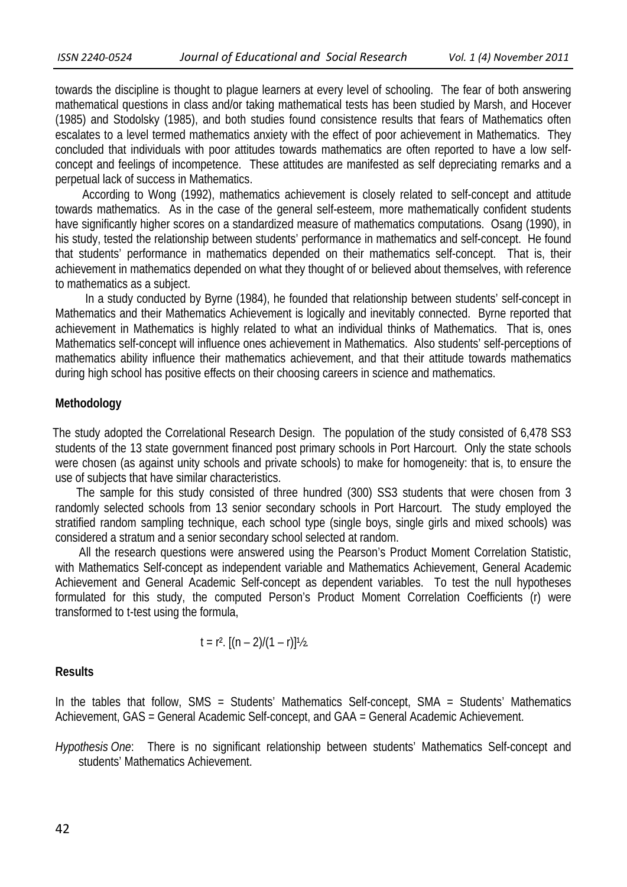towards the discipline is thought to plague learners at every level of schooling. The fear of both answering mathematical questions in class and/or taking mathematical tests has been studied by Marsh, and Hocever (1985) and Stodolsky (1985), and both studies found consistence results that fears of Mathematics often escalates to a level termed mathematics anxiety with the effect of poor achievement in Mathematics. They concluded that individuals with poor attitudes towards mathematics are often reported to have a low selfconcept and feelings of incompetence. These attitudes are manifested as self depreciating remarks and a perpetual lack of success in Mathematics.

 According to Wong (1992), mathematics achievement is closely related to self-concept and attitude towards mathematics. As in the case of the general self-esteem, more mathematically confident students have significantly higher scores on a standardized measure of mathematics computations. Osang (1990), in his study, tested the relationship between students' performance in mathematics and self-concept. He found that students' performance in mathematics depended on their mathematics self-concept. That is, their achievement in mathematics depended on what they thought of or believed about themselves, with reference to mathematics as a subject.

 In a study conducted by Byrne (1984), he founded that relationship between students' self-concept in Mathematics and their Mathematics Achievement is logically and inevitably connected. Byrne reported that achievement in Mathematics is highly related to what an individual thinks of Mathematics. That is, ones Mathematics self-concept will influence ones achievement in Mathematics. Also students' self-perceptions of mathematics ability influence their mathematics achievement, and that their attitude towards mathematics during high school has positive effects on their choosing careers in science and mathematics.

### **Methodology**

 The study adopted the Correlational Research Design. The population of the study consisted of 6,478 SS3 students of the 13 state government financed post primary schools in Port Harcourt. Only the state schools were chosen (as against unity schools and private schools) to make for homogeneity: that is, to ensure the use of subjects that have similar characteristics.

 The sample for this study consisted of three hundred (300) SS3 students that were chosen from 3 randomly selected schools from 13 senior secondary schools in Port Harcourt. The study employed the stratified random sampling technique, each school type (single boys, single girls and mixed schools) was considered a stratum and a senior secondary school selected at random.

 All the research questions were answered using the Pearson's Product Moment Correlation Statistic, with Mathematics Self-concept as independent variable and Mathematics Achievement, General Academic Achievement and General Academic Self-concept as dependent variables. To test the null hypotheses formulated for this study, the computed Person's Product Moment Correlation Coefficients (r) were transformed to t-test using the formula,

$$
t = r^2. \ [(n-2)/(1-r)]\frac{1}{2}.
$$

#### **Results**

In the tables that follow, SMS = Students' Mathematics Self-concept, SMA = Students' Mathematics Achievement, GAS = General Academic Self-concept, and GAA = General Academic Achievement.

*Hypothesis One*: There is no significant relationship between students' Mathematics Self-concept and students' Mathematics Achievement.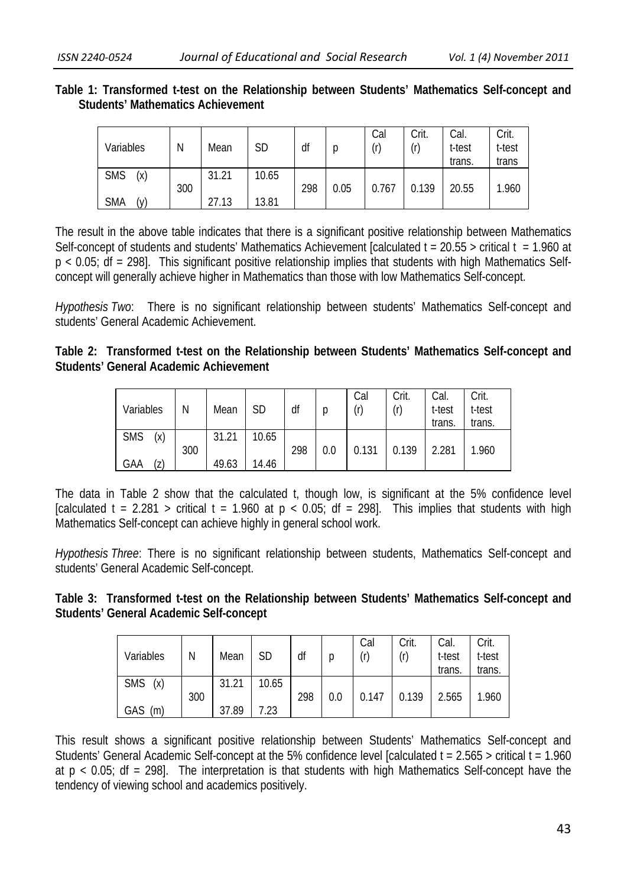**Table 1: Transformed t-test on the Relationship between Students' Mathematics Self-concept and Students' Mathematics Achievement** 

| Variables         | N   | Mean  | SD    | df  | p    | Cal<br>(r) | Crit.<br>(r) | Cal.<br>t-test<br>trans. | Crit.<br>t-test<br>trans |
|-------------------|-----|-------|-------|-----|------|------------|--------------|--------------------------|--------------------------|
| <b>SMS</b><br>(x) | 300 | 31.21 | 10.65 | 298 | 0.05 | 0.767      | 0.139        | 20.55                    | 1.960                    |
| <b>SMA</b><br>(v) |     | 27.13 | 13.81 |     |      |            |              |                          |                          |

The result in the above table indicates that there is a significant positive relationship between Mathematics Self-concept of students and students' Mathematics Achievement [calculated t =  $20.55$  > critical t = 1.960 at p < 0.05; df = 298]. This significant positive relationship implies that students with high Mathematics Selfconcept will generally achieve higher in Mathematics than those with low Mathematics Self-concept.

*Hypothesis Two*: There is no significant relationship between students' Mathematics Self-concept and students' General Academic Achievement.

| Table 2: Transformed t-test on the Relationship between Students' Mathematics Self-concept and |  |  |  |  |
|------------------------------------------------------------------------------------------------|--|--|--|--|
| <b>Students' General Academic Achievement</b>                                                  |  |  |  |  |

|                   |     |       |       |     |     | Cal   | Crit. | Cal.   | Crit.  |
|-------------------|-----|-------|-------|-----|-----|-------|-------|--------|--------|
| Variables         | N   | Mean  | SD    | df  | p   | (r)   | (r)   | t-test | t-test |
|                   |     |       |       |     |     |       |       | trans. | trans. |
| <b>SMS</b><br>(x) |     | 31.21 | 10.65 |     |     |       |       |        |        |
|                   | 300 |       |       | 298 | 0.0 | 0.131 | 0.139 | 2.281  | 1.960  |
| GAA<br>(z)        |     | 49.63 | 14.46 |     |     |       |       |        |        |

The data in Table 2 show that the calculated t, though low, is significant at the 5% confidence level [calculated t = 2.281 > critical t = 1.960 at  $p < 0.05$ ; df = 298]. This implies that students with high Mathematics Self-concept can achieve highly in general school work.

*Hypothesis Three*: There is no significant relationship between students, Mathematics Self-concept and students' General Academic Self-concept.

| Table 3: Transformed t-test on the Relationship between Students' Mathematics Self-concept and |  |  |  |  |
|------------------------------------------------------------------------------------------------|--|--|--|--|
| Students' General Academic Self-concept                                                        |  |  |  |  |

|                   |     |       |           |     |     | Cal   | Crit. | Cal.   | Crit.  |
|-------------------|-----|-------|-----------|-----|-----|-------|-------|--------|--------|
| Variables         | N   | Mean  | <b>SD</b> | df  |     | (r)   | (r)   | t-test | t-test |
|                   |     |       |           |     |     |       |       | trans. | trans. |
| <b>SMS</b><br>(x) |     | 31.21 | 10.65     |     |     |       |       |        |        |
|                   | 300 |       |           | 298 | 0.0 | 0.147 | 0.139 | 2.565  | 1.960  |
| GAS<br>(m)        |     | 37.89 | 7.23      |     |     |       |       |        |        |

This result shows a significant positive relationship between Students' Mathematics Self-concept and Students' General Academic Self-concept at the 5% confidence level [calculated t = 2.565 > critical t = 1.960 at  $p < 0.05$ ; df = 298]. The interpretation is that students with high Mathematics Self-concept have the tendency of viewing school and academics positively.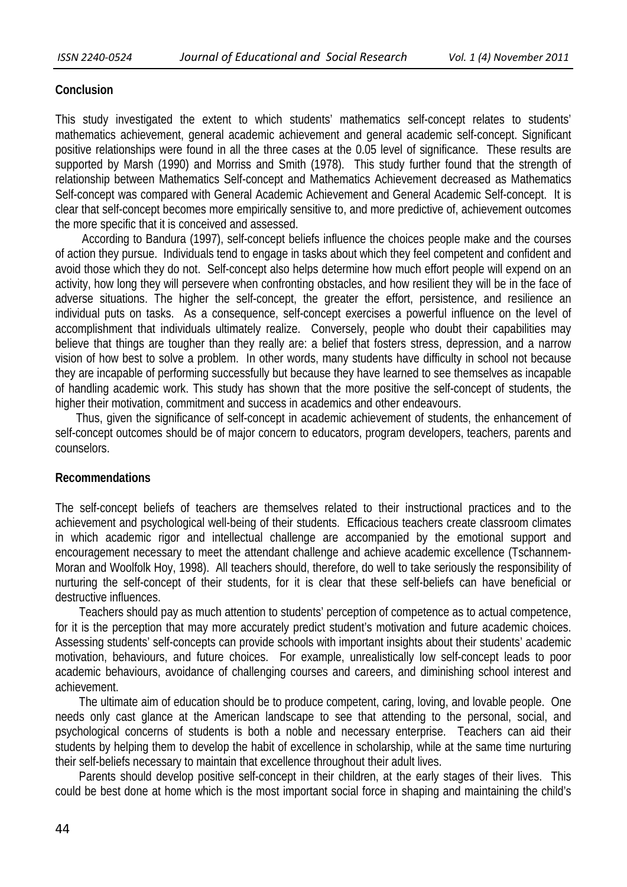### **Conclusion**

This study investigated the extent to which students' mathematics self-concept relates to students' mathematics achievement, general academic achievement and general academic self-concept. Significant positive relationships were found in all the three cases at the 0.05 level of significance. These results are supported by Marsh (1990) and Morriss and Smith (1978). This study further found that the strength of relationship between Mathematics Self-concept and Mathematics Achievement decreased as Mathematics Self-concept was compared with General Academic Achievement and General Academic Self-concept. It is clear that self-concept becomes more empirically sensitive to, and more predictive of, achievement outcomes the more specific that it is conceived and assessed.

 According to Bandura (1997), self-concept beliefs influence the choices people make and the courses of action they pursue. Individuals tend to engage in tasks about which they feel competent and confident and avoid those which they do not. Self-concept also helps determine how much effort people will expend on an activity, how long they will persevere when confronting obstacles, and how resilient they will be in the face of adverse situations. The higher the self-concept, the greater the effort, persistence, and resilience an individual puts on tasks. As a consequence, self-concept exercises a powerful influence on the level of accomplishment that individuals ultimately realize. Conversely, people who doubt their capabilities may believe that things are tougher than they really are: a belief that fosters stress, depression, and a narrow vision of how best to solve a problem. In other words, many students have difficulty in school not because they are incapable of performing successfully but because they have learned to see themselves as incapable of handling academic work. This study has shown that the more positive the self-concept of students, the higher their motivation, commitment and success in academics and other endeavours.

 Thus, given the significance of self-concept in academic achievement of students, the enhancement of self-concept outcomes should be of major concern to educators, program developers, teachers, parents and counselors.

### **Recommendations**

The self-concept beliefs of teachers are themselves related to their instructional practices and to the achievement and psychological well-being of their students. Efficacious teachers create classroom climates in which academic rigor and intellectual challenge are accompanied by the emotional support and encouragement necessary to meet the attendant challenge and achieve academic excellence (Tschannem-Moran and Woolfolk Hoy, 1998). All teachers should, therefore, do well to take seriously the responsibility of nurturing the self-concept of their students, for it is clear that these self-beliefs can have beneficial or destructive influences.

 Teachers should pay as much attention to students' perception of competence as to actual competence, for it is the perception that may more accurately predict student's motivation and future academic choices. Assessing students' self-concepts can provide schools with important insights about their students' academic motivation, behaviours, and future choices. For example, unrealistically low self-concept leads to poor academic behaviours, avoidance of challenging courses and careers, and diminishing school interest and achievement.

 The ultimate aim of education should be to produce competent, caring, loving, and lovable people. One needs only cast glance at the American landscape to see that attending to the personal, social, and psychological concerns of students is both a noble and necessary enterprise. Teachers can aid their students by helping them to develop the habit of excellence in scholarship, while at the same time nurturing their self-beliefs necessary to maintain that excellence throughout their adult lives.

 Parents should develop positive self-concept in their children, at the early stages of their lives. This could be best done at home which is the most important social force in shaping and maintaining the child's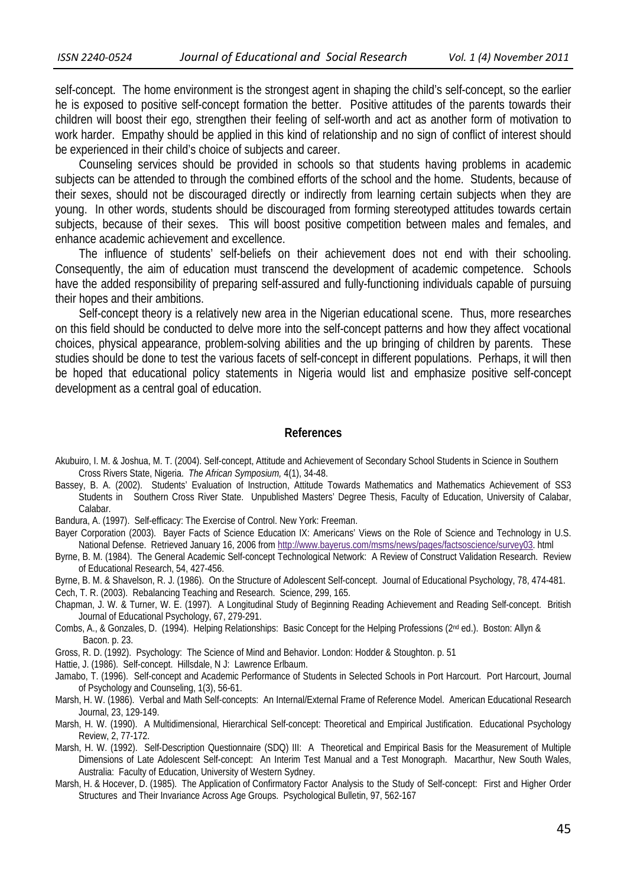self-concept. The home environment is the strongest agent in shaping the child's self-concept, so the earlier he is exposed to positive self-concept formation the better. Positive attitudes of the parents towards their children will boost their ego, strengthen their feeling of self-worth and act as another form of motivation to work harder. Empathy should be applied in this kind of relationship and no sign of conflict of interest should be experienced in their child's choice of subjects and career.

 Counseling services should be provided in schools so that students having problems in academic subjects can be attended to through the combined efforts of the school and the home. Students, because of their sexes, should not be discouraged directly or indirectly from learning certain subjects when they are young. In other words, students should be discouraged from forming stereotyped attitudes towards certain subjects, because of their sexes. This will boost positive competition between males and females, and enhance academic achievement and excellence.

 The influence of students' self-beliefs on their achievement does not end with their schooling. Consequently, the aim of education must transcend the development of academic competence. Schools have the added responsibility of preparing self-assured and fully-functioning individuals capable of pursuing their hopes and their ambitions.

 Self-concept theory is a relatively new area in the Nigerian educational scene. Thus, more researches on this field should be conducted to delve more into the self-concept patterns and how they affect vocational choices, physical appearance, problem-solving abilities and the up bringing of children by parents. These studies should be done to test the various facets of self-concept in different populations. Perhaps, it will then be hoped that educational policy statements in Nigeria would list and emphasize positive self-concept development as a central goal of education.

#### **References**

- Akubuiro, I. M. & Joshua, M. T. (2004). Self-concept, Attitude and Achievement of Secondary School Students in Science in Southern Cross Rivers State, Nigeria. *The African Symposium,* 4(1), 34-48.
- Bassey, B. A. (2002). Students' Evaluation of Instruction, Attitude Towards Mathematics and Mathematics Achievement of SS3 Students in Southern Cross River State. Unpublished Masters' Degree Thesis, Faculty of Education, University of Calabar, Calabar.

Bandura, A. (1997). Self-efficacy: The Exercise of Control. New York: Freeman.

- Bayer Corporation (2003). Bayer Facts of Science Education IX: Americans' Views on the Role of Science and Technology in U.S. National Defense. Retrieved January 16, 2006 from http://www.bayerus.com/msms/news/pages/factsoscience/survey03. html
- Byrne, B. M. (1984). The General Academic Self-concept Technological Network: A Review of Construct Validation Research. Review of Educational Research, 54, 427-456.
- Byrne, B. M. & Shavelson, R. J. (1986). On the Structure of Adolescent Self-concept. Journal of Educational Psychology, 78, 474-481.

Cech, T. R. (2003). Rebalancing Teaching and Research. Science, 299, 165.

- Chapman, J. W. & Turner, W. E. (1997). A Longitudinal Study of Beginning Reading Achievement and Reading Self-concept. British Journal of Educational Psychology, 67, 279-291.
- Combs, A., & Gonzales, D. (1994). Helping Relationships: Basic Concept for the Helping Professions (2nd ed.). Boston: Allyn & Bacon. p. 23.
- Gross, R. D. (1992). Psychology: The Science of Mind and Behavior. London: Hodder & Stoughton. p. 51
- Hattie, J. (1986). Self-concept. Hillsdale, N J: Lawrence Erlbaum.
- Jamabo, T. (1996). Self-concept and Academic Performance of Students in Selected Schools in Port Harcourt. Port Harcourt, Journal of Psychology and Counseling, 1(3), 56-61.
- Marsh, H. W. (1986). Verbal and Math Self-concepts: An Internal/External Frame of Reference Model. American Educational Research Journal, 23, 129-149.
- Marsh, H. W. (1990). A Multidimensional, Hierarchical Self-concept: Theoretical and Empirical Justification. Educational Psychology Review, 2, 77-172.
- Marsh, H. W. (1992). Self-Description Questionnaire (SDQ) III: A Theoretical and Empirical Basis for the Measurement of Multiple Dimensions of Late Adolescent Self-concept: An Interim Test Manual and a Test Monograph. Macarthur, New South Wales, Australia: Faculty of Education, University of Western Sydney.
- Marsh, H. & Hocever, D. (1985). The Application of Confirmatory Factor Analysis to the Study of Self-concept: First and Higher Order Structures and Their Invariance Across Age Groups. Psychological Bulletin, 97, 562-167